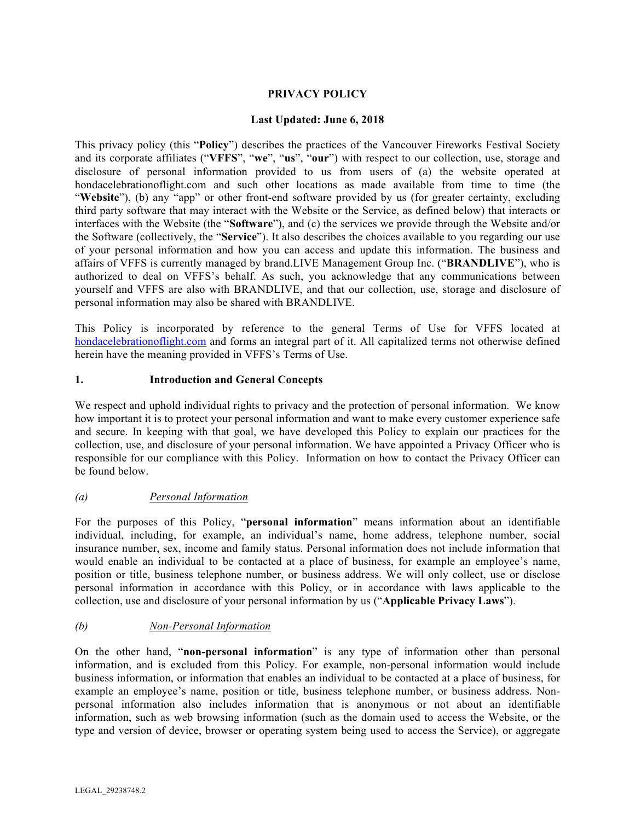# **PRIVACY POLICY**

### **Last Updated: June 6, 2018**

This privacy policy (this "**Policy**") describes the practices of the Vancouver Fireworks Festival Society and its corporate affiliates ("**VFFS**", "**we**", "**us**", "**our**") with respect to our collection, use, storage and disclosure of personal information provided to us from users of (a) the website operated at hondacelebrationoflight.com and such other locations as made available from time to time (the "Website"), (b) any "app" or other front-end software provided by us (for greater certainty, excluding third party software that may interact with the Website or the Service, as defined below) that interacts or interfaces with the Website (the "**Software**"), and (c) the services we provide through the Website and/or the Software (collectively, the "**Service**"). It also describes the choices available to you regarding our use of your personal information and how you can access and update this information. The business and affairs of VFFS is currently managed by brand.LIVE Management Group Inc. ("**BRANDLIVE**"), who is authorized to deal on VFFS's behalf. As such, you acknowledge that any communications between yourself and VFFS are also with BRANDLIVE, and that our collection, use, storage and disclosure of personal information may also be shared with BRANDLIVE.

This Policy is incorporated by reference to the general Terms of Use for VFFS located at hondacelebrationoflight.com and forms an integral part of it. All capitalized terms not otherwise defined herein have the meaning provided in VFFS's Terms of Use.

### **1. Introduction and General Concepts**

We respect and uphold individual rights to privacy and the protection of personal information. We know how important it is to protect your personal information and want to make every customer experience safe and secure. In keeping with that goal, we have developed this Policy to explain our practices for the collection, use, and disclosure of your personal information. We have appointed a Privacy Officer who is responsible for our compliance with this Policy. Information on how to contact the Privacy Officer can be found below.

### *(a) Personal Information*

For the purposes of this Policy, "**personal information**" means information about an identifiable individual, including, for example, an individual's name, home address, telephone number, social insurance number, sex, income and family status. Personal information does not include information that would enable an individual to be contacted at a place of business, for example an employee's name, position or title, business telephone number, or business address. We will only collect, use or disclose personal information in accordance with this Policy, or in accordance with laws applicable to the collection, use and disclosure of your personal information by us ("**Applicable Privacy Laws**").

# *(b) Non-Personal Information*

On the other hand, "**non-personal information**" is any type of information other than personal information, and is excluded from this Policy. For example, non-personal information would include business information, or information that enables an individual to be contacted at a place of business, for example an employee's name, position or title, business telephone number, or business address. Nonpersonal information also includes information that is anonymous or not about an identifiable information, such as web browsing information (such as the domain used to access the Website, or the type and version of device, browser or operating system being used to access the Service), or aggregate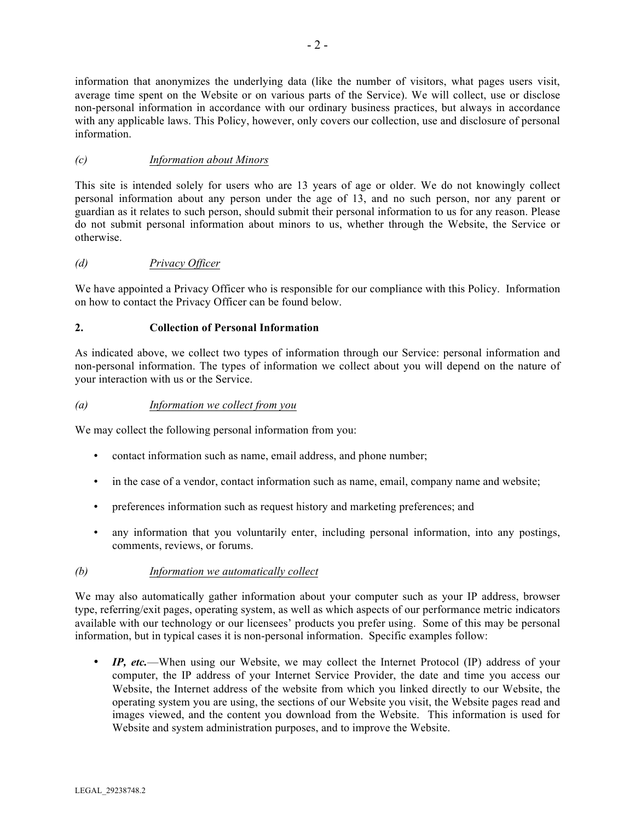information that anonymizes the underlying data (like the number of visitors, what pages users visit, average time spent on the Website or on various parts of the Service). We will collect, use or disclose non-personal information in accordance with our ordinary business practices, but always in accordance with any applicable laws. This Policy, however, only covers our collection, use and disclosure of personal information.

# *(c) Information about Minors*

This site is intended solely for users who are 13 years of age or older. We do not knowingly collect personal information about any person under the age of 13, and no such person, nor any parent or guardian as it relates to such person, should submit their personal information to us for any reason. Please do not submit personal information about minors to us, whether through the Website, the Service or otherwise.

# *(d) Privacy Officer*

We have appointed a Privacy Officer who is responsible for our compliance with this Policy. Information on how to contact the Privacy Officer can be found below.

# **2. Collection of Personal Information**

As indicated above, we collect two types of information through our Service: personal information and non-personal information. The types of information we collect about you will depend on the nature of your interaction with us or the Service.

### *(a) Information we collect from you*

We may collect the following personal information from you:

- contact information such as name, email address, and phone number;
- in the case of a vendor, contact information such as name, email, company name and website;
- preferences information such as request history and marketing preferences; and
- any information that you voluntarily enter, including personal information, into any postings, comments, reviews, or forums.

# *(b) Information we automatically collect*

We may also automatically gather information about your computer such as your IP address, browser type, referring/exit pages, operating system, as well as which aspects of our performance metric indicators available with our technology or our licensees' products you prefer using. Some of this may be personal information, but in typical cases it is non-personal information. Specific examples follow:

• *IP, etc.*—When using our Website, we may collect the Internet Protocol (IP) address of your computer, the IP address of your Internet Service Provider, the date and time you access our Website, the Internet address of the website from which you linked directly to our Website, the operating system you are using, the sections of our Website you visit, the Website pages read and images viewed, and the content you download from the Website. This information is used for Website and system administration purposes, and to improve the Website.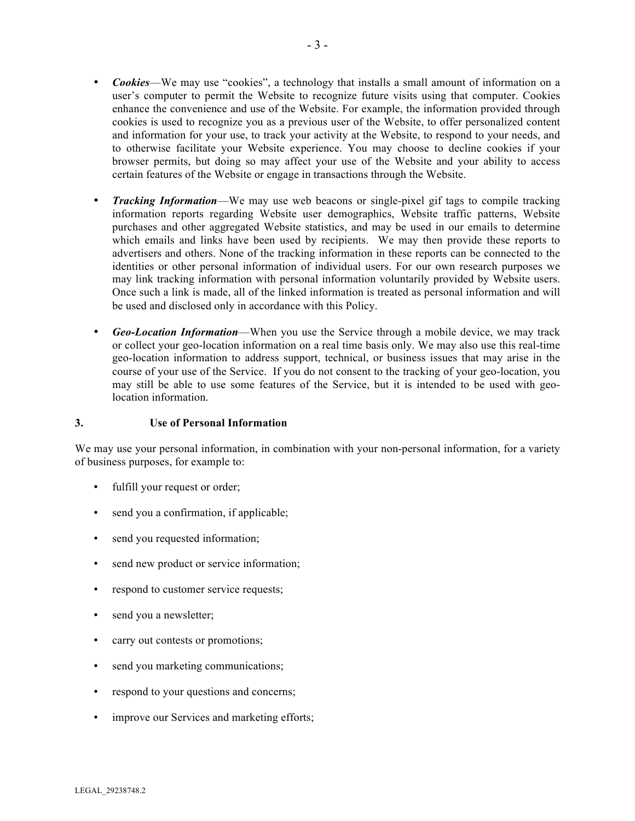- *Cookies*—We may use "cookies", a technology that installs a small amount of information on a user's computer to permit the Website to recognize future visits using that computer. Cookies enhance the convenience and use of the Website. For example, the information provided through cookies is used to recognize you as a previous user of the Website, to offer personalized content and information for your use, to track your activity at the Website, to respond to your needs, and to otherwise facilitate your Website experience. You may choose to decline cookies if your browser permits, but doing so may affect your use of the Website and your ability to access certain features of the Website or engage in transactions through the Website.
- *Tracking Information*—We may use web beacons or single-pixel gif tags to compile tracking information reports regarding Website user demographics, Website traffic patterns, Website purchases and other aggregated Website statistics, and may be used in our emails to determine which emails and links have been used by recipients. We may then provide these reports to advertisers and others. None of the tracking information in these reports can be connected to the identities or other personal information of individual users. For our own research purposes we may link tracking information with personal information voluntarily provided by Website users. Once such a link is made, all of the linked information is treated as personal information and will be used and disclosed only in accordance with this Policy.
- *Geo-Location Information*—When you use the Service through a mobile device, we may track or collect your geo-location information on a real time basis only. We may also use this real-time geo-location information to address support, technical, or business issues that may arise in the course of your use of the Service. If you do not consent to the tracking of your geo-location, you may still be able to use some features of the Service, but it is intended to be used with geolocation information.

#### **3. Use of Personal Information**

We may use your personal information, in combination with your non-personal information, for a variety of business purposes, for example to:

- fulfill your request or order;
- send you a confirmation, if applicable;
- send you requested information;
- send new product or service information;
- respond to customer service requests;
- send you a new sletter;
- carry out contests or promotions;
- send you marketing communications;
- respond to your questions and concerns;
- improve our Services and marketing efforts;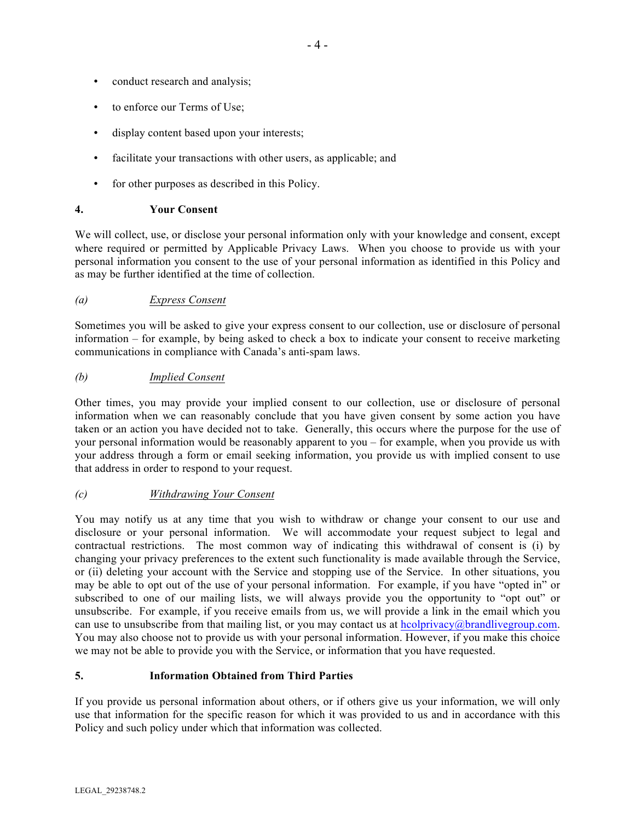- conduct research and analysis;
- to enforce our Terms of Use;
- display content based upon your interests;
- facilitate your transactions with other users, as applicable; and
- for other purposes as described in this Policy.

### **4. Your Consent**

We will collect, use, or disclose your personal information only with your knowledge and consent, except where required or permitted by Applicable Privacy Laws. When you choose to provide us with your personal information you consent to the use of your personal information as identified in this Policy and as may be further identified at the time of collection.

### *(a) Express Consent*

Sometimes you will be asked to give your express consent to our collection, use or disclosure of personal information – for example, by being asked to check a box to indicate your consent to receive marketing communications in compliance with Canada's anti-spam laws.

### *(b) Implied Consent*

Other times, you may provide your implied consent to our collection, use or disclosure of personal information when we can reasonably conclude that you have given consent by some action you have taken or an action you have decided not to take. Generally, this occurs where the purpose for the use of your personal information would be reasonably apparent to you – for example, when you provide us with your address through a form or email seeking information, you provide us with implied consent to use that address in order to respond to your request.

### *(c) Withdrawing Your Consent*

You may notify us at any time that you wish to withdraw or change your consent to our use and disclosure or your personal information. We will accommodate your request subject to legal and contractual restrictions. The most common way of indicating this withdrawal of consent is (i) by changing your privacy preferences to the extent such functionality is made available through the Service, or (ii) deleting your account with the Service and stopping use of the Service. In other situations, you may be able to opt out of the use of your personal information. For example, if you have "opted in" or subscribed to one of our mailing lists, we will always provide you the opportunity to "opt out" or unsubscribe. For example, if you receive emails from us, we will provide a link in the email which you can use to unsubscribe from that mailing list, or you may contact us at hcolprivacy@brandlivegroup.com. You may also choose not to provide us with your personal information. However, if you make this choice we may not be able to provide you with the Service, or information that you have requested.

### **5. Information Obtained from Third Parties**

If you provide us personal information about others, or if others give us your information, we will only use that information for the specific reason for which it was provided to us and in accordance with this Policy and such policy under which that information was collected.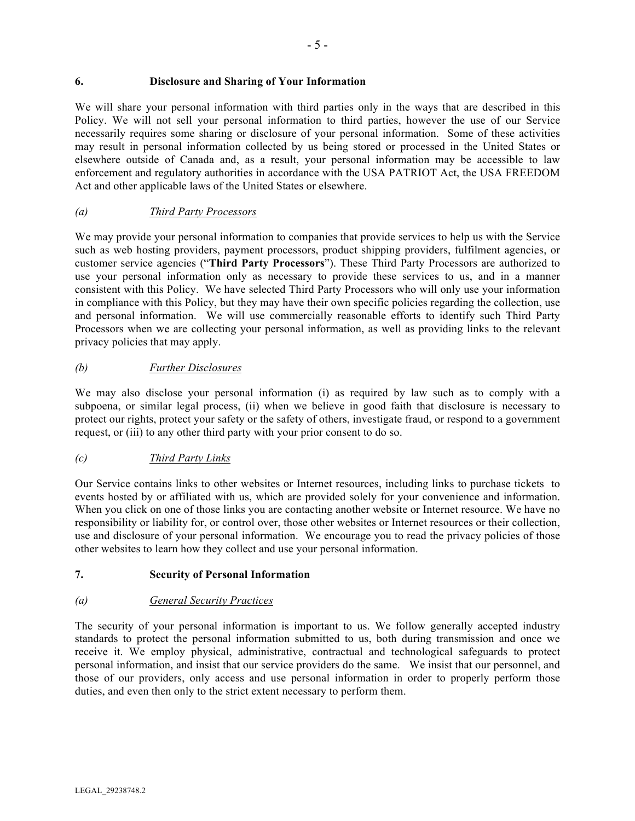### **6. Disclosure and Sharing of Your Information**

We will share your personal information with third parties only in the ways that are described in this Policy. We will not sell your personal information to third parties, however the use of our Service necessarily requires some sharing or disclosure of your personal information. Some of these activities may result in personal information collected by us being stored or processed in the United States or elsewhere outside of Canada and, as a result, your personal information may be accessible to law enforcement and regulatory authorities in accordance with the USA PATRIOT Act, the USA FREEDOM Act and other applicable laws of the United States or elsewhere.

### *(a) Third Party Processors*

We may provide your personal information to companies that provide services to help us with the Service such as web hosting providers, payment processors, product shipping providers, fulfilment agencies, or customer service agencies ("**Third Party Processors**"). These Third Party Processors are authorized to use your personal information only as necessary to provide these services to us, and in a manner consistent with this Policy. We have selected Third Party Processors who will only use your information in compliance with this Policy, but they may have their own specific policies regarding the collection, use and personal information. We will use commercially reasonable efforts to identify such Third Party Processors when we are collecting your personal information, as well as providing links to the relevant privacy policies that may apply.

### *(b) Further Disclosures*

We may also disclose your personal information (i) as required by law such as to comply with a subpoena, or similar legal process, (ii) when we believe in good faith that disclosure is necessary to protect our rights, protect your safety or the safety of others, investigate fraud, or respond to a government request, or (iii) to any other third party with your prior consent to do so.

# *(c) Third Party Links*

Our Service contains links to other websites or Internet resources, including links to purchase tickets to events hosted by or affiliated with us, which are provided solely for your convenience and information. When you click on one of those links you are contacting another website or Internet resource. We have no responsibility or liability for, or control over, those other websites or Internet resources or their collection, use and disclosure of your personal information. We encourage you to read the privacy policies of those other websites to learn how they collect and use your personal information.

### **7. Security of Personal Information**

### *(a) General Security Practices*

The security of your personal information is important to us. We follow generally accepted industry standards to protect the personal information submitted to us, both during transmission and once we receive it. We employ physical, administrative, contractual and technological safeguards to protect personal information, and insist that our service providers do the same. We insist that our personnel, and those of our providers, only access and use personal information in order to properly perform those duties, and even then only to the strict extent necessary to perform them.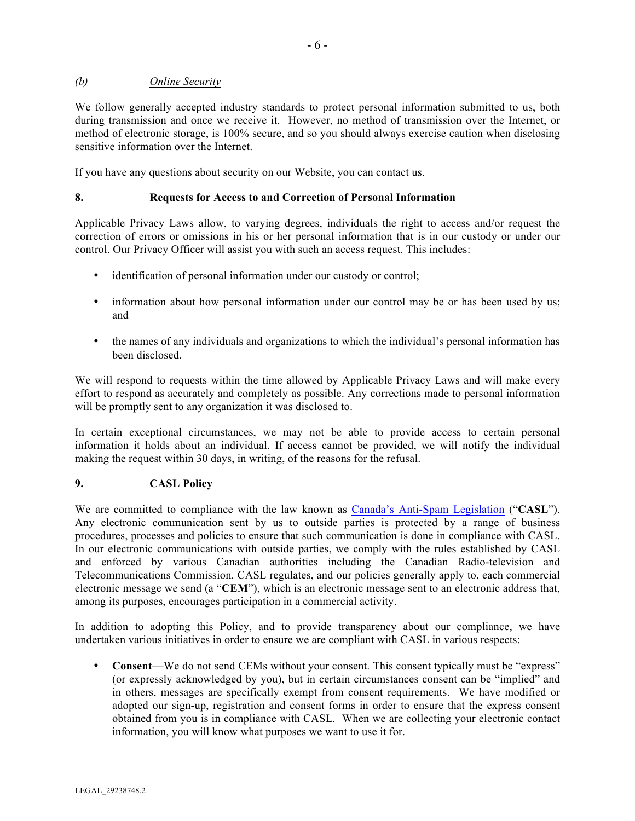### *(b) Online Security*

We follow generally accepted industry standards to protect personal information submitted to us, both during transmission and once we receive it. However, no method of transmission over the Internet, or method of electronic storage, is 100% secure, and so you should always exercise caution when disclosing sensitive information over the Internet.

If you have any questions about security on our Website, you can contact us.

### **8. Requests for Access to and Correction of Personal Information**

Applicable Privacy Laws allow, to varying degrees, individuals the right to access and/or request the correction of errors or omissions in his or her personal information that is in our custody or under our control. Our Privacy Officer will assist you with such an access request. This includes:

- identification of personal information under our custody or control;
- information about how personal information under our control may be or has been used by us; and
- the names of any individuals and organizations to which the individual's personal information has been disclosed.

We will respond to requests within the time allowed by Applicable Privacy Laws and will make every effort to respond as accurately and completely as possible. Any corrections made to personal information will be promptly sent to any organization it was disclosed to.

In certain exceptional circumstances, we may not be able to provide access to certain personal information it holds about an individual. If access cannot be provided, we will notify the individual making the request within 30 days, in writing, of the reasons for the refusal.

### **9. CASL Policy**

We are committed to compliance with the law known as Canada's Anti-Spam Legislation ("**CASL**"). Any electronic communication sent by us to outside parties is protected by a range of business procedures, processes and policies to ensure that such communication is done in compliance with CASL. In our electronic communications with outside parties, we comply with the rules established by CASL and enforced by various Canadian authorities including the Canadian Radio-television and Telecommunications Commission. CASL regulates, and our policies generally apply to, each commercial electronic message we send (a "**CEM**"), which is an electronic message sent to an electronic address that, among its purposes, encourages participation in a commercial activity.

In addition to adopting this Policy, and to provide transparency about our compliance, we have undertaken various initiatives in order to ensure we are compliant with CASL in various respects:

• **Consent**—We do not send CEMs without your consent. This consent typically must be "express" (or expressly acknowledged by you), but in certain circumstances consent can be "implied" and in others, messages are specifically exempt from consent requirements. We have modified or adopted our sign-up, registration and consent forms in order to ensure that the express consent obtained from you is in compliance with CASL. When we are collecting your electronic contact information, you will know what purposes we want to use it for.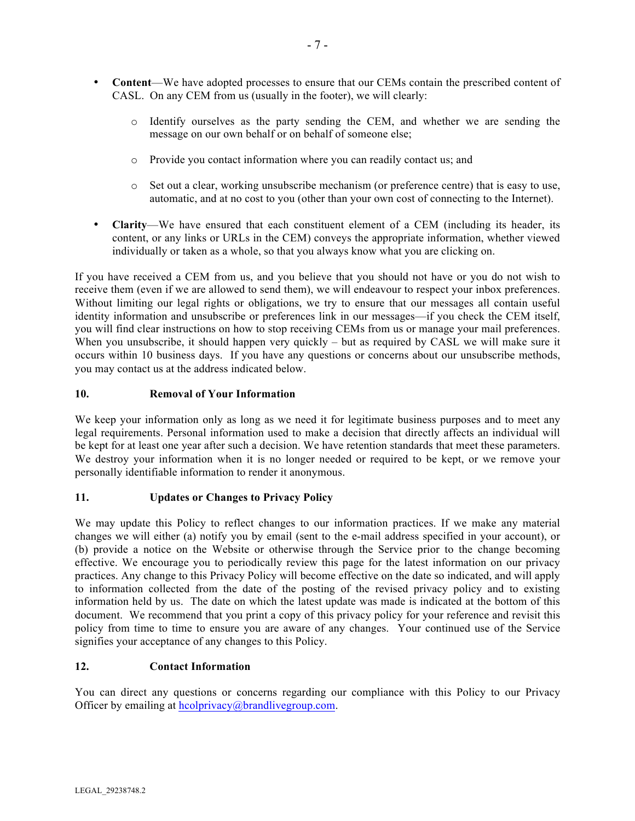- **Content**—We have adopted processes to ensure that our CEMs contain the prescribed content of CASL. On any CEM from us (usually in the footer), we will clearly:
	- o Identify ourselves as the party sending the CEM, and whether we are sending the message on our own behalf or on behalf of someone else;
	- o Provide you contact information where you can readily contact us; and
	- o Set out a clear, working unsubscribe mechanism (or preference centre) that is easy to use, automatic, and at no cost to you (other than your own cost of connecting to the Internet).
- **Clarity**—We have ensured that each constituent element of a CEM (including its header, its content, or any links or URLs in the CEM) conveys the appropriate information, whether viewed individually or taken as a whole, so that you always know what you are clicking on.

If you have received a CEM from us, and you believe that you should not have or you do not wish to receive them (even if we are allowed to send them), we will endeavour to respect your inbox preferences. Without limiting our legal rights or obligations, we try to ensure that our messages all contain useful identity information and unsubscribe or preferences link in our messages—if you check the CEM itself, you will find clear instructions on how to stop receiving CEMs from us or manage your mail preferences. When you unsubscribe, it should happen very quickly – but as required by CASL we will make sure it occurs within 10 business days. If you have any questions or concerns about our unsubscribe methods, you may contact us at the address indicated below.

### **10. Removal of Your Information**

We keep your information only as long as we need it for legitimate business purposes and to meet any legal requirements. Personal information used to make a decision that directly affects an individual will be kept for at least one year after such a decision. We have retention standards that meet these parameters. We destroy your information when it is no longer needed or required to be kept, or we remove your personally identifiable information to render it anonymous.

### **11. Updates or Changes to Privacy Policy**

We may update this Policy to reflect changes to our information practices. If we make any material changes we will either (a) notify you by email (sent to the e-mail address specified in your account), or (b) provide a notice on the Website or otherwise through the Service prior to the change becoming effective. We encourage you to periodically review this page for the latest information on our privacy practices. Any change to this Privacy Policy will become effective on the date so indicated, and will apply to information collected from the date of the posting of the revised privacy policy and to existing information held by us. The date on which the latest update was made is indicated at the bottom of this document. We recommend that you print a copy of this privacy policy for your reference and revisit this policy from time to time to ensure you are aware of any changes. Your continued use of the Service signifies your acceptance of any changes to this Policy.

# **12. Contact Information**

You can direct any questions or concerns regarding our compliance with this Policy to our Privacy Officer by emailing at hcolprivacy@brandlivegroup.com.